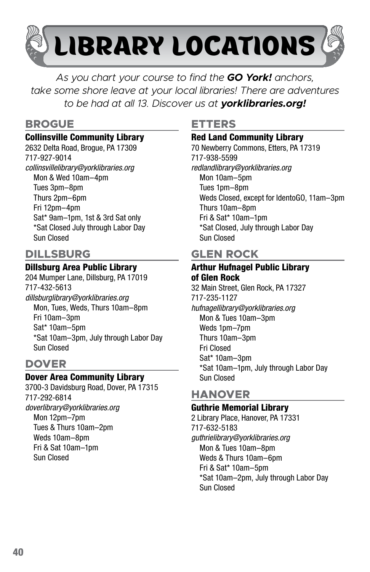

*As you chart your course to find the GO York! anchors, take some shore leave at your local libraries! There are adventures to be had at all 13. Discover us at yorklibraries.org!*

### **BROGUE**

#### Collinsville Community Library

2632 Delta Road, Brogue, PA 17309 717-927-9014 *collinsvillelibrary@yorklibraries.org* Mon & Wed 10am–4pm Tues 3pm–8pm Thurs 2pm–6pm Fri 12pm–4pm Sat\* 9am–1pm, 1st & 3rd Sat only \*Sat Closed July through Labor Day

## **DILLSBURG**

Sun Closed

#### Dillsburg Area Public Library

204 Mumper Lane, Dillsburg, PA 17019 717-432-5613 *dillsburglibrary@yorklibraries.org*  Mon, Tues, Weds, Thurs 10am–8pm Fri 10am–3pm Sat\* 10am–5pm \*Sat 10am–3pm, July through Labor Day Sun Closed

## **DOVER**

#### Dover Area Community Library

3700-3 Davidsburg Road, Dover, PA 17315 717-292-6814 *doverlibrary@yorklibraries.org* Mon 12pm–7pm Tues & Thurs 10am–2pm Weds 10am–8pm Fri & Sat 10am–1pm Sun Closed

## **ETTERS**

#### Red Land Community Library

70 Newberry Commons, Etters, PA 17319 717-938-5599 *redlandlibrary@yorklibraries.org* Mon 10am–5pm Tues 1pm–8pm Weds Closed, except for IdentoGO, 11am–3pm Thurs 10am–8pm Fri & Sat\* 10am–1pm \*Sat Closed, July through Labor Day Sun Closed

# **GLEN ROCK**

## Arthur Hufnagel Public Library of Glen Rock

32 Main Street, Glen Rock, PA 17327 717-235-1127 *hufnagellibrary@yorklibraries.org*  Mon & Tues 10am–3pm Weds 1pm–7pm Thurs 10am–3pm Fri Closed Sat\* 10am–3pm \*Sat 10am–1pm, July through Labor Day Sun Closed

### **HANOVER**

#### Guthrie Memorial Library

2 Library Place, Hanover, PA 17331 717-632-5183 *guthrielibrary@yorklibraries.org* Mon & Tues 10am–8pm Weds & Thurs 10am–6pm Fri & Sat\* 10am–5pm \*Sat 10am–2pm, July through Labor Day Sun Closed